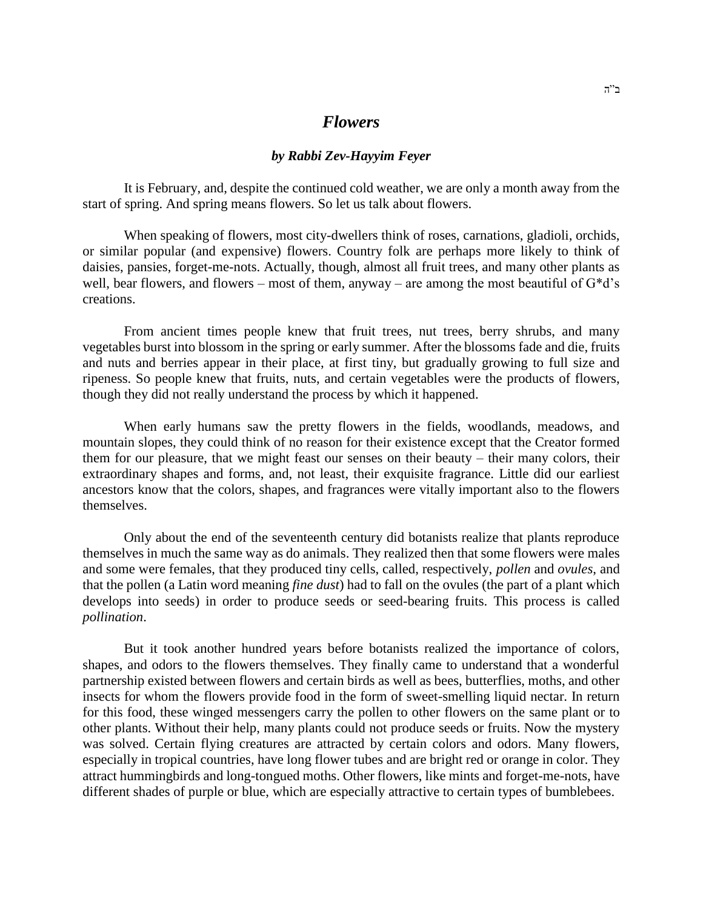## *Flowers*

## *by Rabbi Zev-Hayyim Feyer*

It is February, and, despite the continued cold weather, we are only a month away from the start of spring. And spring means flowers. So let us talk about flowers.

When speaking of flowers, most city-dwellers think of roses, carnations, gladioli, orchids, or similar popular (and expensive) flowers. Country folk are perhaps more likely to think of daisies, pansies, forget-me-nots. Actually, though, almost all fruit trees, and many other plants as well, bear flowers, and flowers – most of them, anyway – are among the most beautiful of  $G^*d^s$ creations.

From ancient times people knew that fruit trees, nut trees, berry shrubs, and many vegetables burst into blossom in the spring or early summer. After the blossoms fade and die, fruits and nuts and berries appear in their place, at first tiny, but gradually growing to full size and ripeness. So people knew that fruits, nuts, and certain vegetables were the products of flowers, though they did not really understand the process by which it happened.

When early humans saw the pretty flowers in the fields, woodlands, meadows, and mountain slopes, they could think of no reason for their existence except that the Creator formed them for our pleasure, that we might feast our senses on their beauty – their many colors, their extraordinary shapes and forms, and, not least, their exquisite fragrance. Little did our earliest ancestors know that the colors, shapes, and fragrances were vitally important also to the flowers themselves.

Only about the end of the seventeenth century did botanists realize that plants reproduce themselves in much the same way as do animals. They realized then that some flowers were males and some were females, that they produced tiny cells, called, respectively, *pollen* and *ovules*, and that the pollen (a Latin word meaning *fine dust*) had to fall on the ovules (the part of a plant which develops into seeds) in order to produce seeds or seed-bearing fruits. This process is called *pollination*.

But it took another hundred years before botanists realized the importance of colors, shapes, and odors to the flowers themselves. They finally came to understand that a wonderful partnership existed between flowers and certain birds as well as bees, butterflies, moths, and other insects for whom the flowers provide food in the form of sweet-smelling liquid nectar. In return for this food, these winged messengers carry the pollen to other flowers on the same plant or to other plants. Without their help, many plants could not produce seeds or fruits. Now the mystery was solved. Certain flying creatures are attracted by certain colors and odors. Many flowers, especially in tropical countries, have long flower tubes and are bright red or orange in color. They attract hummingbirds and long-tongued moths. Other flowers, like mints and forget-me-nots, have different shades of purple or blue, which are especially attractive to certain types of bumblebees.